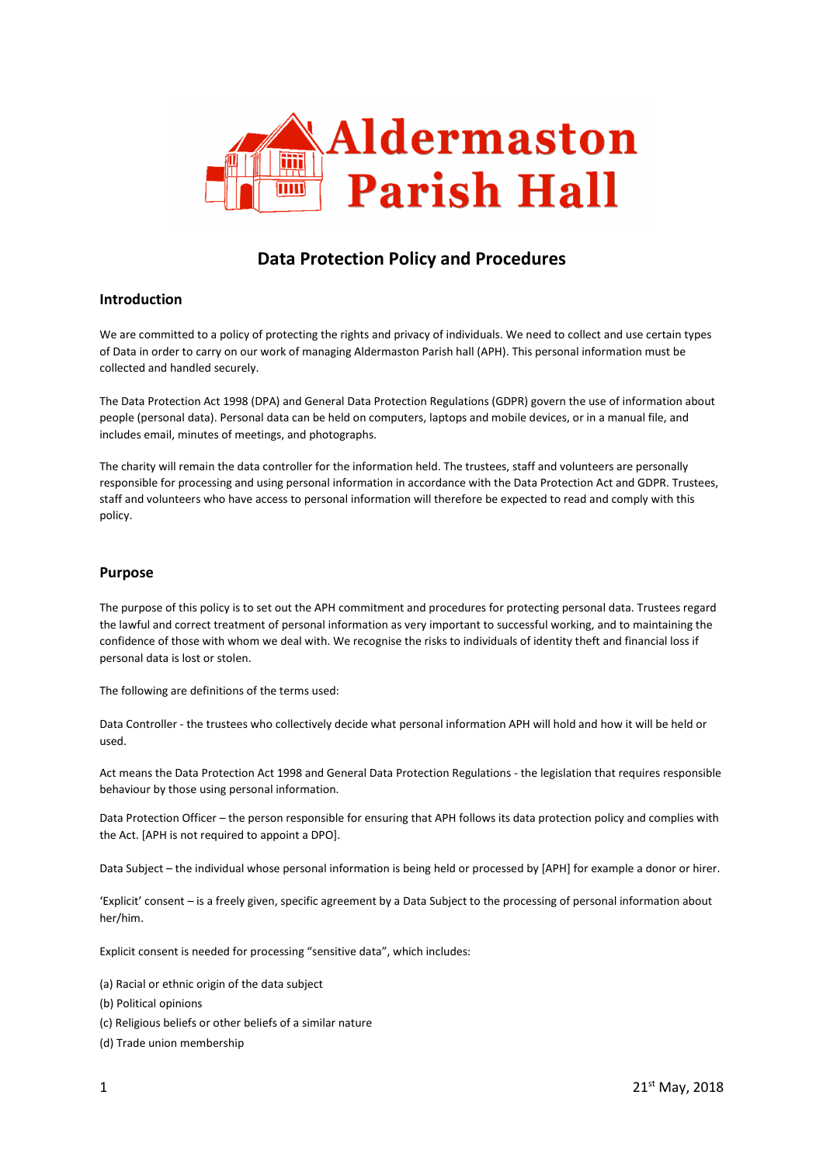

# **Data Protection Policy and Procedures**

### **Introduction**

We are committed to a policy of protecting the rights and privacy of individuals. We need to collect and use certain types of Data in order to carry on our work of managing Aldermaston Parish hall (APH). This personal information must be collected and handled securely.

The Data Protection Act 1998 (DPA) and General Data Protection Regulations (GDPR) govern the use of information about people (personal data). Personal data can be held on computers, laptops and mobile devices, or in a manual file, and includes email, minutes of meetings, and photographs.

The charity will remain the data controller for the information held. The trustees, staff and volunteers are personally responsible for processing and using personal information in accordance with the Data Protection Act and GDPR. Trustees, staff and volunteers who have access to personal information will therefore be expected to read and comply with this policy.

### **Purpose**

The purpose of this policy is to set out the APH commitment and procedures for protecting personal data. Trustees regard the lawful and correct treatment of personal information as very important to successful working, and to maintaining the confidence of those with whom we deal with. We recognise the risks to individuals of identity theft and financial loss if personal data is lost or stolen.

The following are definitions of the terms used:

Data Controller - the trustees who collectively decide what personal information APH will hold and how it will be held or used.

Act means the Data Protection Act 1998 and General Data Protection Regulations - the legislation that requires responsible behaviour by those using personal information.

Data Protection Officer – the person responsible for ensuring that APH follows its data protection policy and complies with the Act. [APH is not required to appoint a DPO].

Data Subject – the individual whose personal information is being held or processed by [APH] for example a donor or hirer.

'Explicit' consent – is a freely given, specific agreement by a Data Subject to the processing of personal information about her/him.

Explicit consent is needed for processing "sensitive data", which includes:

(a) Racial or ethnic origin of the data subject (b) Political opinions (c) Religious beliefs or other beliefs of a similar nature (d) Trade union membership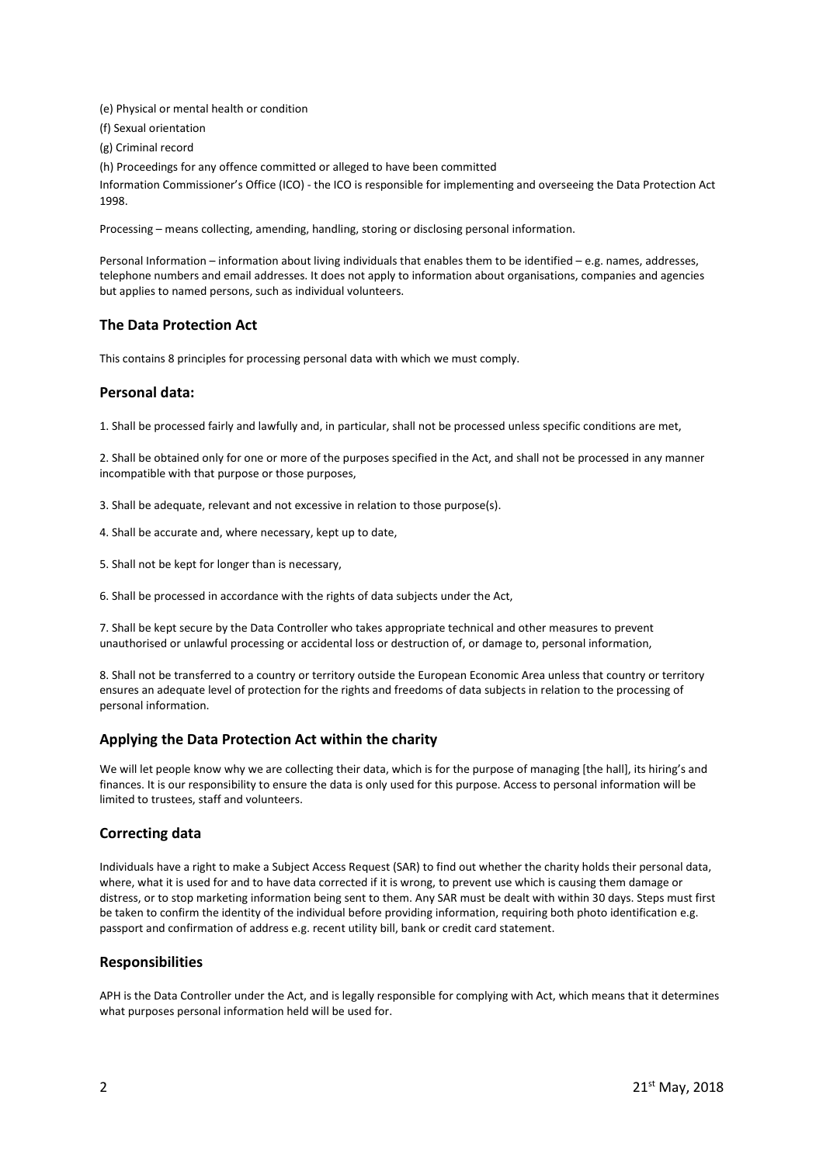(e) Physical or mental health or condition (f) Sexual orientation (g) Criminal record (h) Proceedings for any offence committed or alleged to have been committed Information Commissioner's Office (ICO) - the ICO is responsible for implementing and overseeing the Data Protection Act 1998.

Processing – means collecting, amending, handling, storing or disclosing personal information.

Personal Information – information about living individuals that enables them to be identified – e.g. names, addresses, telephone numbers and email addresses. It does not apply to information about organisations, companies and agencies but applies to named persons, such as individual volunteers.

### **The Data Protection Act**

This contains 8 principles for processing personal data with which we must comply.

### **Personal data:**

1. Shall be processed fairly and lawfully and, in particular, shall not be processed unless specific conditions are met,

2. Shall be obtained only for one or more of the purposes specified in the Act, and shall not be processed in any manner incompatible with that purpose or those purposes,

- 3. Shall be adequate, relevant and not excessive in relation to those purpose(s).
- 4. Shall be accurate and, where necessary, kept up to date,
- 5. Shall not be kept for longer than is necessary,
- 6. Shall be processed in accordance with the rights of data subjects under the Act,

7. Shall be kept secure by the Data Controller who takes appropriate technical and other measures to prevent unauthorised or unlawful processing or accidental loss or destruction of, or damage to, personal information,

8. Shall not be transferred to a country or territory outside the European Economic Area unless that country or territory ensures an adequate level of protection for the rights and freedoms of data subjects in relation to the processing of personal information.

# **Applying the Data Protection Act within the charity**

We will let people know why we are collecting their data, which is for the purpose of managing [the hall], its hiring's and finances. It is our responsibility to ensure the data is only used for this purpose. Access to personal information will be limited to trustees, staff and volunteers.

### **Correcting data**

Individuals have a right to make a Subject Access Request (SAR) to find out whether the charity holds their personal data, where, what it is used for and to have data corrected if it is wrong, to prevent use which is causing them damage or distress, or to stop marketing information being sent to them. Any SAR must be dealt with within 30 days. Steps must first be taken to confirm the identity of the individual before providing information, requiring both photo identification e.g. passport and confirmation of address e.g. recent utility bill, bank or credit card statement.

### **Responsibilities**

APH is the Data Controller under the Act, and is legally responsible for complying with Act, which means that it determines what purposes personal information held will be used for.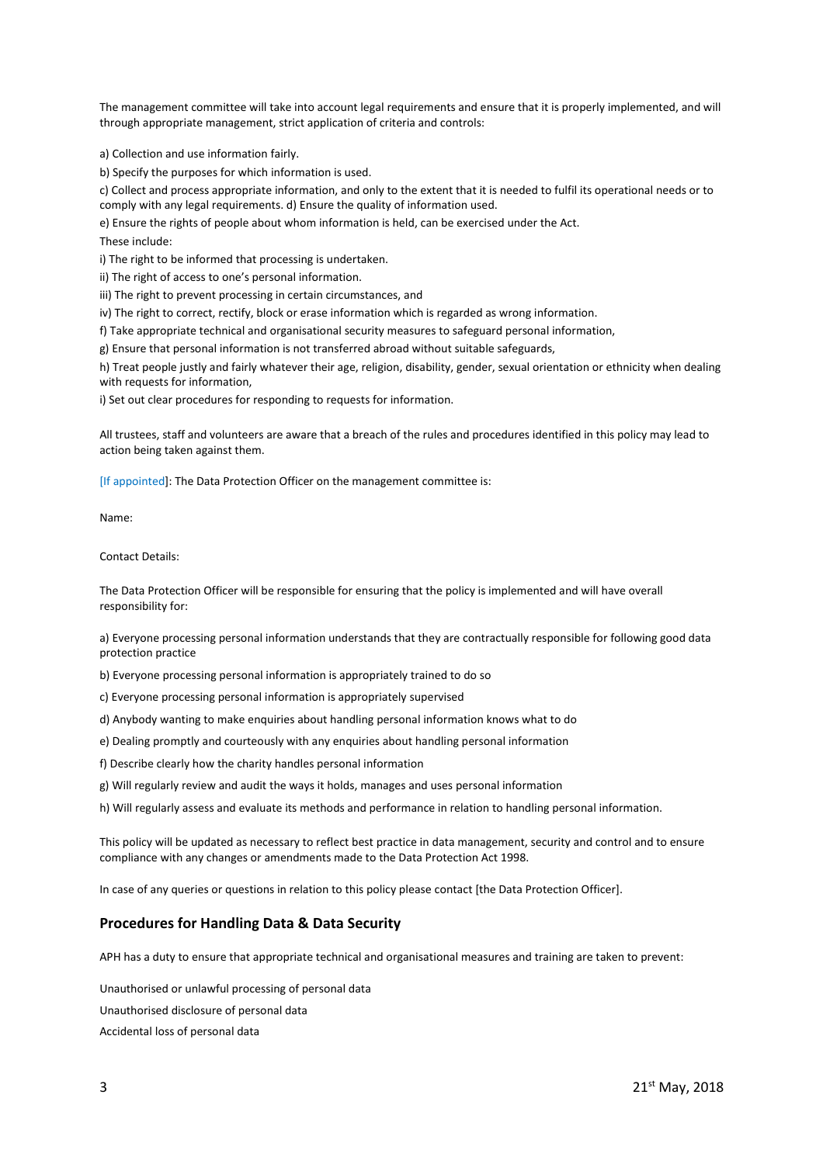The management committee will take into account legal requirements and ensure that it is properly implemented, and will through appropriate management, strict application of criteria and controls:

a) Collection and use information fairly.

b) Specify the purposes for which information is used.

c) Collect and process appropriate information, and only to the extent that it is needed to fulfil its operational needs or to comply with any legal requirements. d) Ensure the quality of information used.

e) Ensure the rights of people about whom information is held, can be exercised under the Act.

These include:

i) The right to be informed that processing is undertaken.

ii) The right of access to one's personal information.

iii) The right to prevent processing in certain circumstances, and

iv) The right to correct, rectify, block or erase information which is regarded as wrong information.

f) Take appropriate technical and organisational security measures to safeguard personal information,

g) Ensure that personal information is not transferred abroad without suitable safeguards,

h) Treat people justly and fairly whatever their age, religion, disability, gender, sexual orientation or ethnicity when dealing with requests for information,

i) Set out clear procedures for responding to requests for information.

All trustees, staff and volunteers are aware that a breach of the rules and procedures identified in this policy may lead to action being taken against them.

[If appointed]: The Data Protection Officer on the management committee is:

Name:

Contact Details:

The Data Protection Officer will be responsible for ensuring that the policy is implemented and will have overall responsibility for:

a) Everyone processing personal information understands that they are contractually responsible for following good data protection practice

b) Everyone processing personal information is appropriately trained to do so

c) Everyone processing personal information is appropriately supervised

d) Anybody wanting to make enquiries about handling personal information knows what to do

e) Dealing promptly and courteously with any enquiries about handling personal information

f) Describe clearly how the charity handles personal information

g) Will regularly review and audit the ways it holds, manages and uses personal information

h) Will regularly assess and evaluate its methods and performance in relation to handling personal information.

This policy will be updated as necessary to reflect best practice in data management, security and control and to ensure compliance with any changes or amendments made to the Data Protection Act 1998.

In case of any queries or questions in relation to this policy please contact [the Data Protection Officer].

### **Procedures for Handling Data & Data Security**

APH has a duty to ensure that appropriate technical and organisational measures and training are taken to prevent:

Unauthorised or unlawful processing of personal data Unauthorised disclosure of personal data Accidental loss of personal data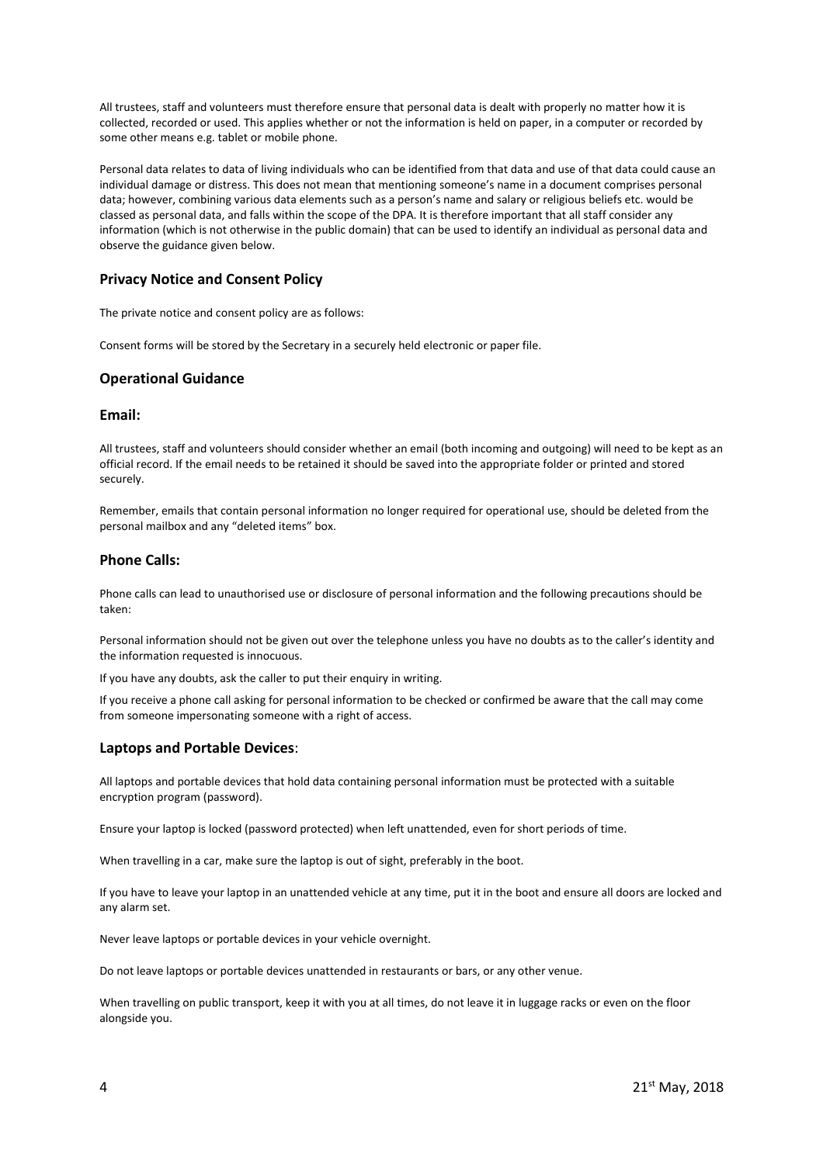All trustees, staff and volunteers must therefore ensure that personal data is dealt with properly no matter how it is collected, recorded or used. This applies whether or not the information is held on paper, in a computer or recorded by some other means e.g. tablet or mobile phone.

Personal data relates to data of living individuals who can be identified from that data and use of that data could cause an individual damage or distress. This does not mean that mentioning someone's name in a document comprises personal data; however, combining various data elements such as a person's name and salary or religious beliefs etc. would be classed as personal data, and falls within the scope of the DPA. It is therefore important that all staff consider any information (which is not otherwise in the public domain) that can be used to identify an individual as personal data and observe the guidance given below.

## **Privacy Notice and Consent Policy**

The private notice and consent policy are as follows:

Consent forms will be stored by the Secretary in a securely held electronic or paper file.

### **Operational Guidance**

#### **Email:**

All trustees, staff and volunteers should consider whether an email (both incoming and outgoing) will need to be kept as an official record. If the email needs to be retained it should be saved into the appropriate folder or printed and stored securely.

Remember, emails that contain personal information no longer required for operational use, should be deleted from the personal mailbox and any "deleted items" box.

#### **Phone Calls:**

Phone calls can lead to unauthorised use or disclosure of personal information and the following precautions should be taken:

Personal information should not be given out over the telephone unless you have no doubts as to the caller's identity and the information requested is innocuous.

If you have any doubts, ask the caller to put their enquiry in writing.

If you receive a phone call asking for personal information to be checked or confirmed be aware that the call may come from someone impersonating someone with a right of access.

### **Laptops and Portable Devices**:

All laptops and portable devices that hold data containing personal information must be protected with a suitable encryption program (password).

Ensure your laptop is locked (password protected) when left unattended, even for short periods of time.

When travelling in a car, make sure the laptop is out of sight, preferably in the boot.

If you have to leave your laptop in an unattended vehicle at any time, put it in the boot and ensure all doors are locked and any alarm set.

Never leave laptops or portable devices in your vehicle overnight.

Do not leave laptops or portable devices unattended in restaurants or bars, or any other venue.

When travelling on public transport, keep it with you at all times, do not leave it in luggage racks or even on the floor alongside you.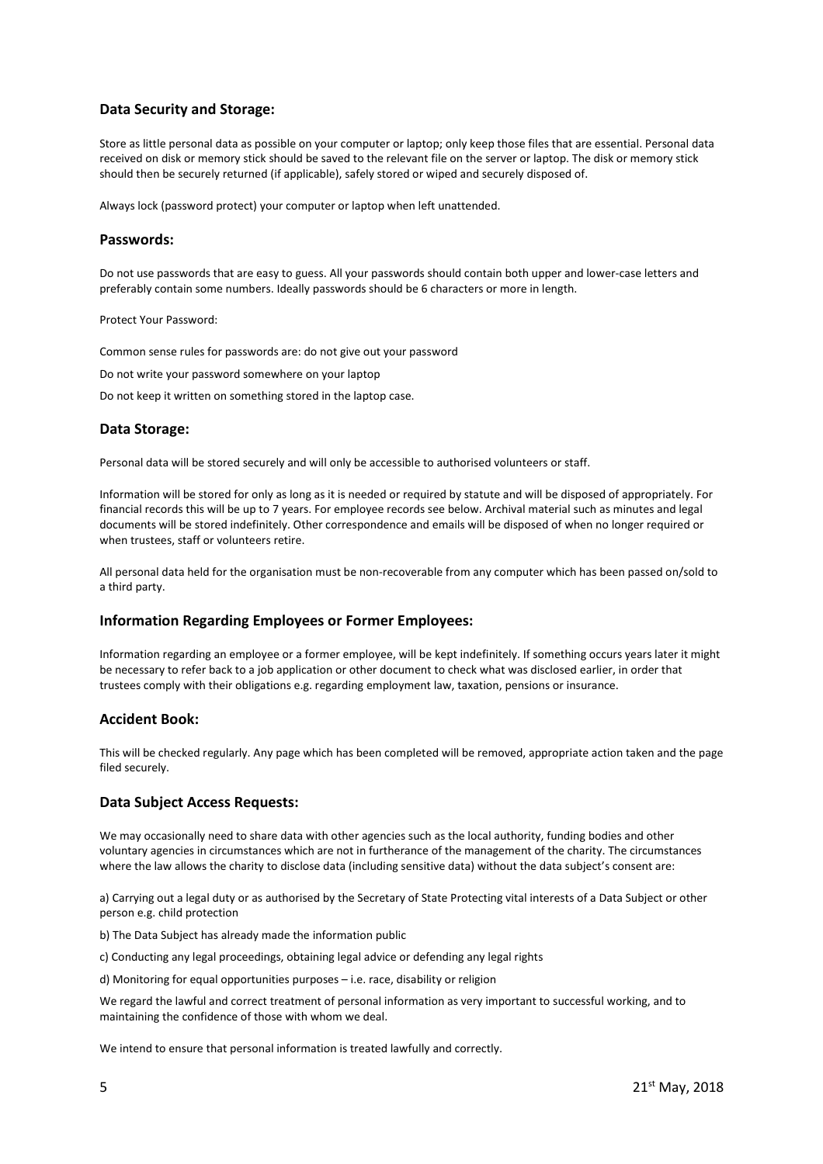## **Data Security and Storage:**

Store as little personal data as possible on your computer or laptop; only keep those files that are essential. Personal data received on disk or memory stick should be saved to the relevant file on the server or laptop. The disk or memory stick should then be securely returned (if applicable), safely stored or wiped and securely disposed of.

Always lock (password protect) your computer or laptop when left unattended.

#### **Passwords:**

Do not use passwords that are easy to guess. All your passwords should contain both upper and lower-case letters and preferably contain some numbers. Ideally passwords should be 6 characters or more in length.

#### Protect Your Password:

Common sense rules for passwords are: do not give out your password Do not write your password somewhere on your laptop

Do not keep it written on something stored in the laptop case.

### **Data Storage:**

Personal data will be stored securely and will only be accessible to authorised volunteers or staff.

Information will be stored for only as long as it is needed or required by statute and will be disposed of appropriately. For financial records this will be up to 7 years. For employee records see below. Archival material such as minutes and legal documents will be stored indefinitely. Other correspondence and emails will be disposed of when no longer required or when trustees, staff or volunteers retire.

All personal data held for the organisation must be non-recoverable from any computer which has been passed on/sold to a third party.

### **Information Regarding Employees or Former Employees:**

Information regarding an employee or a former employee, will be kept indefinitely. If something occurs years later it might be necessary to refer back to a job application or other document to check what was disclosed earlier, in order that trustees comply with their obligations e.g. regarding employment law, taxation, pensions or insurance.

### **Accident Book:**

This will be checked regularly. Any page which has been completed will be removed, appropriate action taken and the page filed securely.

#### **Data Subject Access Requests:**

We may occasionally need to share data with other agencies such as the local authority, funding bodies and other voluntary agencies in circumstances which are not in furtherance of the management of the charity. The circumstances where the law allows the charity to disclose data (including sensitive data) without the data subject's consent are:

a) Carrying out a legal duty or as authorised by the Secretary of State Protecting vital interests of a Data Subject or other person e.g. child protection

b) The Data Subject has already made the information public

c) Conducting any legal proceedings, obtaining legal advice or defending any legal rights

d) Monitoring for equal opportunities purposes – i.e. race, disability or religion

We regard the lawful and correct treatment of personal information as very important to successful working, and to maintaining the confidence of those with whom we deal.

We intend to ensure that personal information is treated lawfully and correctly.